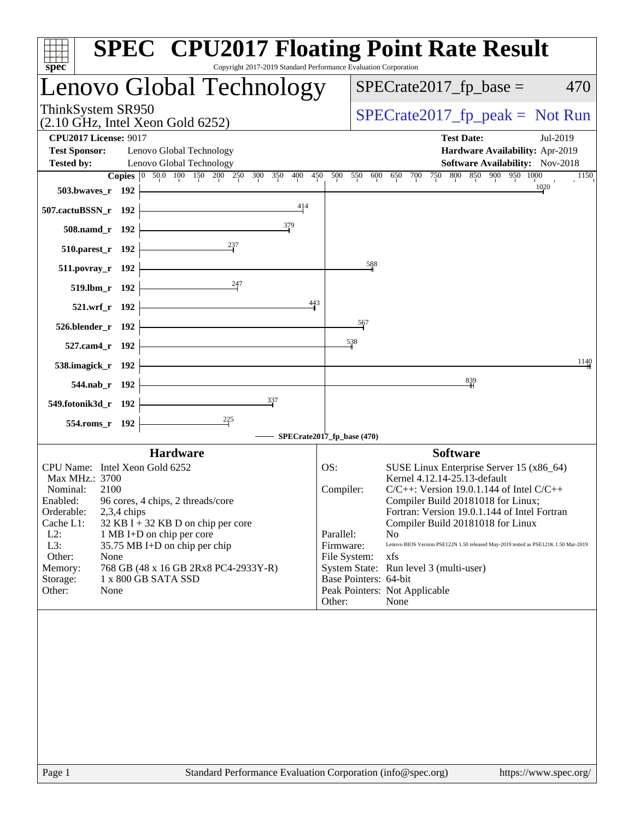| Copyright 2017-2019 Standard Performance Evaluation Corporation<br>$spec^*$                                                                        | <b>SPEC<sup>®</sup> CPU2017 Floating Point Rate Result</b>                                                                 |
|----------------------------------------------------------------------------------------------------------------------------------------------------|----------------------------------------------------------------------------------------------------------------------------|
| Lenovo Global Technology                                                                                                                           | $SPECrate2017fp base =$<br>470                                                                                             |
| ThinkSystem SR950<br>$(2.10 \text{ GHz}, \text{Intel Xeon Gold } 6252)$                                                                            | $SPECrate2017fr peak = Not Run$                                                                                            |
| <b>CPU2017 License: 9017</b>                                                                                                                       | <b>Test Date:</b><br>Jul-2019                                                                                              |
| <b>Test Sponsor:</b><br>Lenovo Global Technology<br><b>Tested by:</b><br>Lenovo Global Technology<br>Copies 0 50.0 100 150 200 250 300 350 400 450 | Hardware Availability: Apr-2019<br>Software Availability: Nov-2018<br>500 550 600 650 700 750 800 850 900 950 1000<br>1150 |
| 503.bwaves_r $192$                                                                                                                                 | 1020                                                                                                                       |
| $\frac{414}{1}$<br>507.cactuBSSN_r 192                                                                                                             |                                                                                                                            |
| $\frac{379}{2}$<br>$508$ .namd_r 192                                                                                                               |                                                                                                                            |
| $\overline{\phantom{237}}$<br>$510.parest_r 192$                                                                                                   |                                                                                                                            |
| $511.povray_r$ 192                                                                                                                                 | 588                                                                                                                        |
| 519.lbm_r 192 $\frac{247}{1}$                                                                                                                      |                                                                                                                            |
| 443<br>$521.wrf_r$ 192                                                                                                                             |                                                                                                                            |
| 526.blender_r 192 $\left  \right $                                                                                                                 | 567                                                                                                                        |
| $527$ .cam4_r 192 $-$                                                                                                                              | 538                                                                                                                        |
| 538.imagick_r $192$                                                                                                                                | 1140                                                                                                                       |
| $544.nab_r 192$                                                                                                                                    | $\frac{839}{4}$                                                                                                            |
| $\frac{337}{2}$<br>549.fotonik3d_r $192$                                                                                                           |                                                                                                                            |
| $\frac{225}{1}$<br>$554$ .roms_r 192 $\vdash$                                                                                                      |                                                                                                                            |
|                                                                                                                                                    | SPECrate2017_fp_base (470)                                                                                                 |
| <b>Hardware</b>                                                                                                                                    | <b>Software</b>                                                                                                            |
| CPU Name: Intel Xeon Gold 6252<br>Max MHz.: 3700                                                                                                   | OS:<br>SUSE Linux Enterprise Server 15 (x86_64)<br>Kernel 4.12.14-25.13-default                                            |
| Nominal:<br>2100                                                                                                                                   | $C/C++$ : Version 19.0.1.144 of Intel $C/C++$<br>Compiler:                                                                 |
| Enabled:<br>96 cores, 4 chips, 2 threads/core                                                                                                      | Compiler Build 20181018 for Linux;                                                                                         |
| Orderable:<br>$2,3,4$ chips<br>Cache L1:<br>$32$ KB I + 32 KB D on chip per core                                                                   | Fortran: Version 19.0.1.144 of Intel Fortran<br>Compiler Build 20181018 for Linux                                          |
| $L2$ :<br>1 MB I+D on chip per core                                                                                                                | Parallel:<br>N <sub>0</sub>                                                                                                |
| L3:<br>35.75 MB I+D on chip per chip                                                                                                               | Lenovo BIOS Version PSE122N 1.50 released May-2019 tested as PSE121K 1.50 Mar-2019<br>Firmware:                            |
| Other:<br>None                                                                                                                                     | File System:<br>xfs                                                                                                        |
| Memory:<br>768 GB (48 x 16 GB 2Rx8 PC4-2933Y-R)                                                                                                    | System State: Run level 3 (multi-user)                                                                                     |
| 1 x 800 GB SATA SSD<br>Storage:                                                                                                                    | Base Pointers: 64-bit<br>Peak Pointers: Not Applicable                                                                     |
| Other:<br>None                                                                                                                                     | Other:<br>None                                                                                                             |
|                                                                                                                                                    |                                                                                                                            |
|                                                                                                                                                    |                                                                                                                            |
|                                                                                                                                                    |                                                                                                                            |
|                                                                                                                                                    |                                                                                                                            |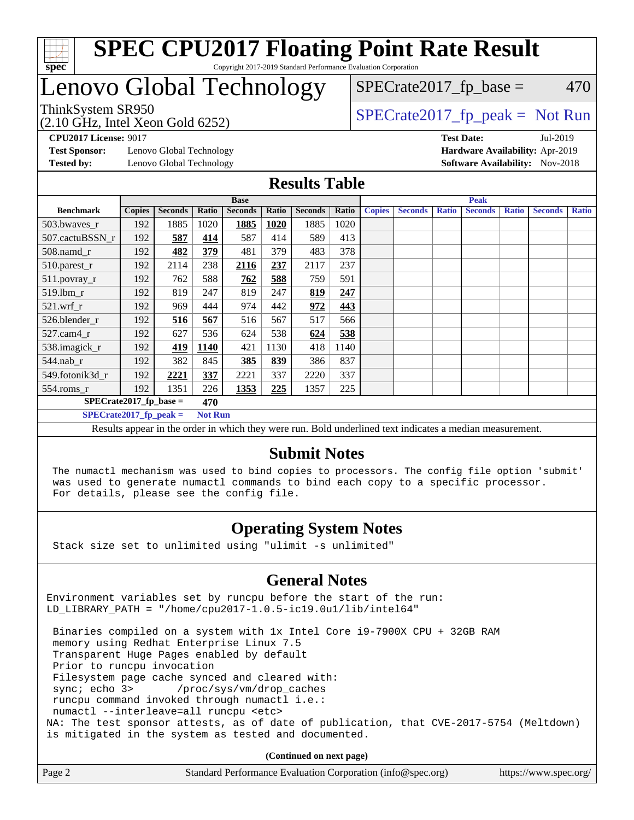

### Lenovo Global Technology

(2.10 GHz, Intel Xeon Gold 6252)

ThinkSystem SR950<br>  $SPECTR_{10}$  [SPECrate2017\\_fp\\_peak =](http://www.spec.org/auto/cpu2017/Docs/result-fields.html#SPECrate2017fppeak) Not Run

 $SPECTate2017<sub>fr</sub> base = 470$ 

**[Test Sponsor:](http://www.spec.org/auto/cpu2017/Docs/result-fields.html#TestSponsor)** Lenovo Global Technology **[Hardware Availability:](http://www.spec.org/auto/cpu2017/Docs/result-fields.html#HardwareAvailability)** Apr-2019 **[Tested by:](http://www.spec.org/auto/cpu2017/Docs/result-fields.html#Testedby)** Lenovo Global Technology **[Software Availability:](http://www.spec.org/auto/cpu2017/Docs/result-fields.html#SoftwareAvailability)** Nov-2018

**[CPU2017 License:](http://www.spec.org/auto/cpu2017/Docs/result-fields.html#CPU2017License)** 9017 **[Test Date:](http://www.spec.org/auto/cpu2017/Docs/result-fields.html#TestDate)** Jul-2019

#### **[Results Table](http://www.spec.org/auto/cpu2017/Docs/result-fields.html#ResultsTable)**

|                                            | <b>Base</b>   |                |       |                |             | <b>Peak</b>    |       |               |                |              |                |              |                |              |
|--------------------------------------------|---------------|----------------|-------|----------------|-------------|----------------|-------|---------------|----------------|--------------|----------------|--------------|----------------|--------------|
| <b>Benchmark</b>                           | <b>Copies</b> | <b>Seconds</b> | Ratio | <b>Seconds</b> | Ratio       | <b>Seconds</b> | Ratio | <b>Copies</b> | <b>Seconds</b> | <b>Ratio</b> | <b>Seconds</b> | <b>Ratio</b> | <b>Seconds</b> | <b>Ratio</b> |
| 503.bwayes r                               | 192           | 1885           | 1020  | 1885           | <b>1020</b> | 1885           | 1020  |               |                |              |                |              |                |              |
| 507.cactuBSSN r                            | 192           | 587            | 414   | 587            | 414         | 589            | 413   |               |                |              |                |              |                |              |
| $508$ .namd $r$                            | 192           | 482            | 379   | 481            | 379         | 483            | 378   |               |                |              |                |              |                |              |
| 510.parest_r                               | 192           | 2114           | 238   | 2116           | 237         | 2117           | 237   |               |                |              |                |              |                |              |
| 511.povray_r                               | 192           | 762            | 588   | 762            | 588         | 759            | 591   |               |                |              |                |              |                |              |
| 519.1bm r                                  | 192           | 819            | 247   | 819            | 247         | 819            | 247   |               |                |              |                |              |                |              |
| $521$ .wrf r                               | 192           | 969            | 444   | 974            | 442         | 972            | 443   |               |                |              |                |              |                |              |
| 526.blender r                              | 192           | 516            | 567   | 516            | 567         | 517            | 566   |               |                |              |                |              |                |              |
| $527.cam4_r$                               | 192           | 627            | 536   | 624            | 538         | 624            | 538   |               |                |              |                |              |                |              |
| 538.imagick_r                              | 192           | 419            | 1140  | 421            | 1130        | 418            | 1140  |               |                |              |                |              |                |              |
| $544$ .nab_r                               | 192           | 382            | 845   | 385            | 839         | 386            | 837   |               |                |              |                |              |                |              |
| 549.fotonik3d r                            | 192           | 2221           | 337   | 2221           | 337         | 2220           | 337   |               |                |              |                |              |                |              |
| $554$ .roms_r                              | 192           | 1351           | 226   | 1353           | 225         | 1357           | 225   |               |                |              |                |              |                |              |
| $SPECrate2017$ fp base =<br>470            |               |                |       |                |             |                |       |               |                |              |                |              |                |              |
| $SPECrate2017$ fp peak =<br><b>Not Run</b> |               |                |       |                |             |                |       |               |                |              |                |              |                |              |

Results appear in the [order in which they were run](http://www.spec.org/auto/cpu2017/Docs/result-fields.html#RunOrder). Bold underlined text [indicates a median measurement.](http://www.spec.org/auto/cpu2017/Docs/result-fields.html#Median)

#### **[Submit Notes](http://www.spec.org/auto/cpu2017/Docs/result-fields.html#SubmitNotes)**

 The numactl mechanism was used to bind copies to processors. The config file option 'submit' was used to generate numactl commands to bind each copy to a specific processor. For details, please see the config file.

### **[Operating System Notes](http://www.spec.org/auto/cpu2017/Docs/result-fields.html#OperatingSystemNotes)**

Stack size set to unlimited using "ulimit -s unlimited"

### **[General Notes](http://www.spec.org/auto/cpu2017/Docs/result-fields.html#GeneralNotes)**

Environment variables set by runcpu before the start of the run: LD\_LIBRARY\_PATH = "/home/cpu2017-1.0.5-ic19.0u1/lib/intel64"

 Binaries compiled on a system with 1x Intel Core i9-7900X CPU + 32GB RAM memory using Redhat Enterprise Linux 7.5 Transparent Huge Pages enabled by default Prior to runcpu invocation Filesystem page cache synced and cleared with: sync; echo 3> /proc/sys/vm/drop\_caches runcpu command invoked through numactl i.e.: numactl --interleave=all runcpu <etc> NA: The test sponsor attests, as of date of publication, that CVE-2017-5754 (Meltdown) is mitigated in the system as tested and documented.

**(Continued on next page)**

| Page 2<br>Standard Performance Evaluation Corporation (info@spec.org)<br>https://www.spec.org/ |
|------------------------------------------------------------------------------------------------|
|------------------------------------------------------------------------------------------------|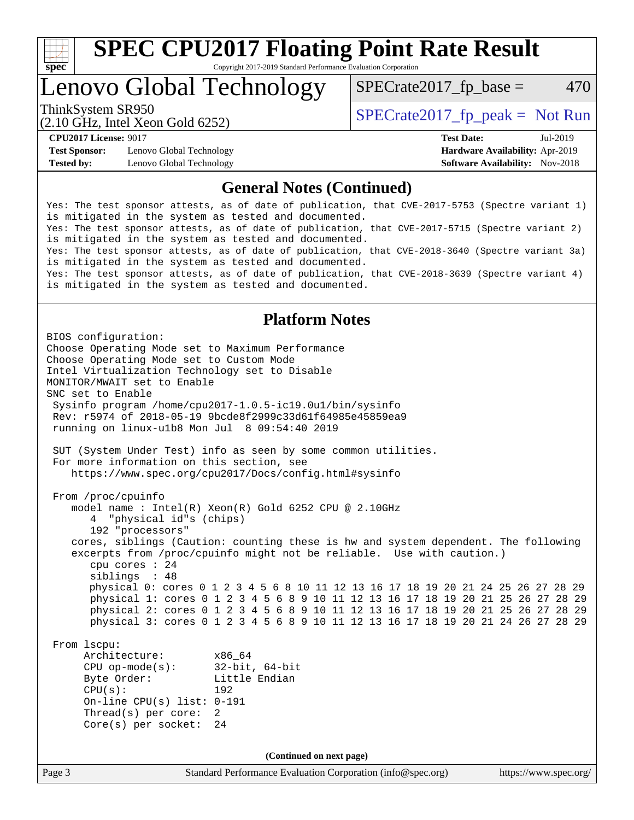

Lenovo Global Technology

 $SPECTate2017<sub>fr</sub> base = 470$ 

(2.10 GHz, Intel Xeon Gold 6252)

ThinkSystem SR950<br>  $SPECTA = Not Run 2017$  [SPECrate2017\\_fp\\_peak =](http://www.spec.org/auto/cpu2017/Docs/result-fields.html#SPECrate2017fppeak) Not Run

**[Test Sponsor:](http://www.spec.org/auto/cpu2017/Docs/result-fields.html#TestSponsor)** Lenovo Global Technology **[Hardware Availability:](http://www.spec.org/auto/cpu2017/Docs/result-fields.html#HardwareAvailability)** Apr-2019 **[Tested by:](http://www.spec.org/auto/cpu2017/Docs/result-fields.html#Testedby)** Lenovo Global Technology **[Software Availability:](http://www.spec.org/auto/cpu2017/Docs/result-fields.html#SoftwareAvailability)** Nov-2018

**[CPU2017 License:](http://www.spec.org/auto/cpu2017/Docs/result-fields.html#CPU2017License)** 9017 **[Test Date:](http://www.spec.org/auto/cpu2017/Docs/result-fields.html#TestDate)** Jul-2019

### **[General Notes \(Continued\)](http://www.spec.org/auto/cpu2017/Docs/result-fields.html#GeneralNotes)**

Yes: The test sponsor attests, as of date of publication, that CVE-2017-5753 (Spectre variant 1) is mitigated in the system as tested and documented. Yes: The test sponsor attests, as of date of publication, that CVE-2017-5715 (Spectre variant 2) is mitigated in the system as tested and documented. Yes: The test sponsor attests, as of date of publication, that CVE-2018-3640 (Spectre variant 3a) is mitigated in the system as tested and documented. Yes: The test sponsor attests, as of date of publication, that CVE-2018-3639 (Spectre variant 4) is mitigated in the system as tested and documented.

### **[Platform Notes](http://www.spec.org/auto/cpu2017/Docs/result-fields.html#PlatformNotes)**

Page 3 Standard Performance Evaluation Corporation [\(info@spec.org\)](mailto:info@spec.org) <https://www.spec.org/> BIOS configuration: Choose Operating Mode set to Maximum Performance Choose Operating Mode set to Custom Mode Intel Virtualization Technology set to Disable MONITOR/MWAIT set to Enable SNC set to Enable Sysinfo program /home/cpu2017-1.0.5-ic19.0u1/bin/sysinfo Rev: r5974 of 2018-05-19 9bcde8f2999c33d61f64985e45859ea9 running on linux-u1b8 Mon Jul 8 09:54:40 2019 SUT (System Under Test) info as seen by some common utilities. For more information on this section, see <https://www.spec.org/cpu2017/Docs/config.html#sysinfo> From /proc/cpuinfo model name : Intel(R) Xeon(R) Gold 6252 CPU @ 2.10GHz 4 "physical id"s (chips) 192 "processors" cores, siblings (Caution: counting these is hw and system dependent. The following excerpts from /proc/cpuinfo might not be reliable. Use with caution.) cpu cores : 24 siblings : 48 physical 0: cores 0 1 2 3 4 5 6 8 10 11 12 13 16 17 18 19 20 21 24 25 26 27 28 29 physical 1: cores 0 1 2 3 4 5 6 8 9 10 11 12 13 16 17 18 19 20 21 25 26 27 28 29 physical 2: cores 0 1 2 3 4 5 6 8 9 10 11 12 13 16 17 18 19 20 21 25 26 27 28 29 physical 3: cores 0 1 2 3 4 5 6 8 9 10 11 12 13 16 17 18 19 20 21 24 26 27 28 29 From lscpu: Architecture: x86\_64 CPU op-mode(s): 32-bit, 64-bit Byte Order: Little Endian CPU(s): 192 On-line CPU(s) list: 0-191 Thread(s) per core: 2 Core(s) per socket: 24 **(Continued on next page)**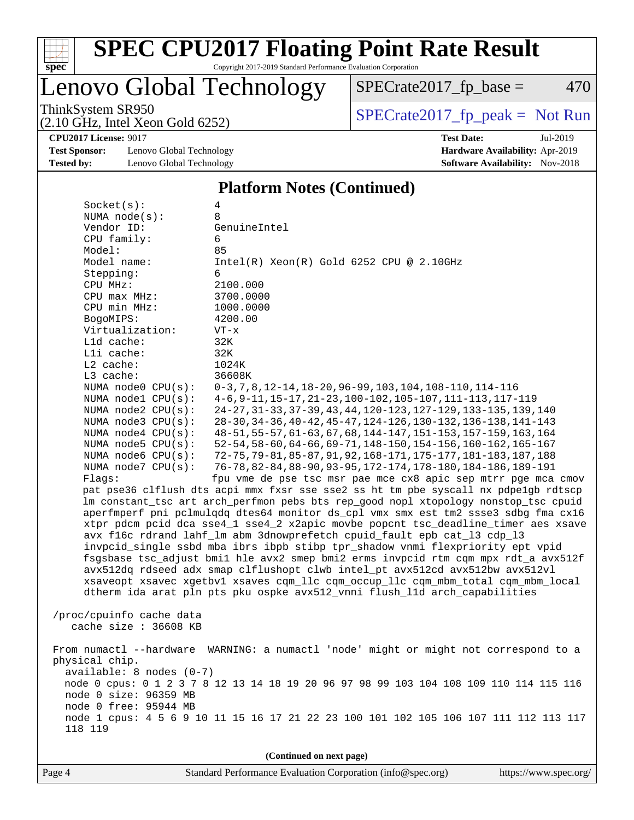

# **[SPEC CPU2017 Floating Point Rate Result](http://www.spec.org/auto/cpu2017/Docs/result-fields.html#SPECCPU2017FloatingPointRateResult)**

Copyright 2017-2019 Standard Performance Evaluation Corporation

### Lenovo Global Technology

 $SPECrate2017_fp\_base = 470$ 

(2.10 GHz, Intel Xeon Gold 6252)

ThinkSystem SR950<br>  $(2.10 \text{ GHz})$  Intel Yeon Gold 6252)

**[CPU2017 License:](http://www.spec.org/auto/cpu2017/Docs/result-fields.html#CPU2017License)** 9017 **[Test Date:](http://www.spec.org/auto/cpu2017/Docs/result-fields.html#TestDate)** Jul-2019

**[Test Sponsor:](http://www.spec.org/auto/cpu2017/Docs/result-fields.html#TestSponsor)** Lenovo Global Technology **[Hardware Availability:](http://www.spec.org/auto/cpu2017/Docs/result-fields.html#HardwareAvailability)** Apr-2019 **[Tested by:](http://www.spec.org/auto/cpu2017/Docs/result-fields.html#Testedby)** Lenovo Global Technology **[Software Availability:](http://www.spec.org/auto/cpu2017/Docs/result-fields.html#SoftwareAvailability)** Nov-2018

### **[Platform Notes \(Continued\)](http://www.spec.org/auto/cpu2017/Docs/result-fields.html#PlatformNotes)**

| Socket(s):                               | 4                                                                                                                                  |
|------------------------------------------|------------------------------------------------------------------------------------------------------------------------------------|
| NUMA $node(s)$ :                         | 8                                                                                                                                  |
| Vendor ID:                               | GenuineIntel                                                                                                                       |
| CPU family:                              | 6                                                                                                                                  |
| Model:                                   | 85                                                                                                                                 |
| Model name:                              | Intel(R) Xeon(R) Gold 6252 CPU @ 2.10GHz                                                                                           |
| Stepping:                                | 6                                                                                                                                  |
| CPU MHz:                                 | 2100.000                                                                                                                           |
| CPU max MHz:                             | 3700.0000                                                                                                                          |
| CPU min MHz:                             | 1000.0000                                                                                                                          |
| BogoMIPS:                                | 4200.00                                                                                                                            |
| Virtualization:                          | $VT - x$                                                                                                                           |
| Lld cache:                               | 32K                                                                                                                                |
| Lli cache:                               | 32K                                                                                                                                |
| L2 cache:                                | 1024K                                                                                                                              |
| L3 cache:                                | 36608K                                                                                                                             |
| NUMA node0 CPU(s):                       | $0-3, 7, 8, 12-14, 18-20, 96-99, 103, 104, 108-110, 114-116$                                                                       |
| NUMA nodel CPU(s):                       | 4-6, 9-11, 15-17, 21-23, 100-102, 105-107, 111-113, 117-119                                                                        |
| NUMA node2 CPU(s):<br>NUMA node3 CPU(s): | 24-27, 31-33, 37-39, 43, 44, 120-123, 127-129, 133-135, 139, 140<br>28-30, 34-36, 40-42, 45-47, 124-126, 130-132, 136-138, 141-143 |
| NUMA node4 CPU(s):                       | 48-51, 55-57, 61-63, 67, 68, 144-147, 151-153, 157-159, 163, 164                                                                   |
| NUMA $node5$ CPU $(s)$ :                 | 52-54, 58-60, 64-66, 69-71, 148-150, 154-156, 160-162, 165-167                                                                     |
| NUMA node6 $CPU(s):$                     | 72-75, 79-81, 85-87, 91, 92, 168-171, 175-177, 181-183, 187, 188                                                                   |
| NUMA node7 CPU(s):                       | 76-78, 82-84, 88-90, 93-95, 172-174, 178-180, 184-186, 189-191                                                                     |
| Flags:                                   | fpu vme de pse tsc msr pae mce cx8 apic sep mtrr pge mca cmov                                                                      |
|                                          | pat pse36 clflush dts acpi mmx fxsr sse sse2 ss ht tm pbe syscall nx pdpelgb rdtscp                                                |
|                                          | lm constant_tsc art arch_perfmon pebs bts rep_good nopl xtopology nonstop_tsc cpuid                                                |
|                                          | aperfmperf pni pclmulqdq dtes64 monitor ds_cpl vmx smx est tm2 ssse3 sdbg fma cx16                                                 |
|                                          | xtpr pdcm pcid dca sse4_1 sse4_2 x2apic movbe popcnt tsc_deadline_timer aes xsave                                                  |
|                                          | avx f16c rdrand lahf_lm abm 3dnowprefetch cpuid_fault epb cat_13 cdp_13                                                            |
|                                          | invpcid_single ssbd mba ibrs ibpb stibp tpr_shadow vnmi flexpriority ept vpid                                                      |
|                                          | fsgsbase tsc_adjust bmil hle avx2 smep bmi2 erms invpcid rtm cqm mpx rdt_a avx512f                                                 |
|                                          | avx512dq rdseed adx smap clflushopt clwb intel_pt avx512cd avx512bw avx512vl                                                       |
|                                          | xsaveopt xsavec xgetbvl xsaves cqm_llc cqm_occup_llc cqm_mbm_total cqm_mbm_local                                                   |
|                                          | dtherm ida arat pln pts pku ospke avx512_vnni flush_lld arch_capabilities                                                          |
|                                          |                                                                                                                                    |
| /proc/cpuinfo cache data                 |                                                                                                                                    |
| cache size : 36608 KB                    |                                                                                                                                    |
|                                          |                                                                                                                                    |
| From numactl --hardware                  | WARNING: a numactl 'node' might or might not correspond to a                                                                       |
| physical chip.                           |                                                                                                                                    |
| available: 8 nodes (0-7)                 |                                                                                                                                    |
|                                          | node 0 cpus: 0 1 2 3 7 8 12 13 14 18 19 20 96 97 98 99 103 104 108 109 110 114 115 116                                             |
| node 0 size: 96359 MB                    |                                                                                                                                    |
| node 0 free: 95944 MB                    |                                                                                                                                    |
|                                          | node 1 cpus: 4 5 6 9 10 11 15 16 17 21 22 23 100 101 102 105 106 107 111 112 113 117                                               |
| 118 119                                  |                                                                                                                                    |
|                                          |                                                                                                                                    |
|                                          | (Continued on next page)                                                                                                           |

Page 4 Standard Performance Evaluation Corporation [\(info@spec.org\)](mailto:info@spec.org) <https://www.spec.org/>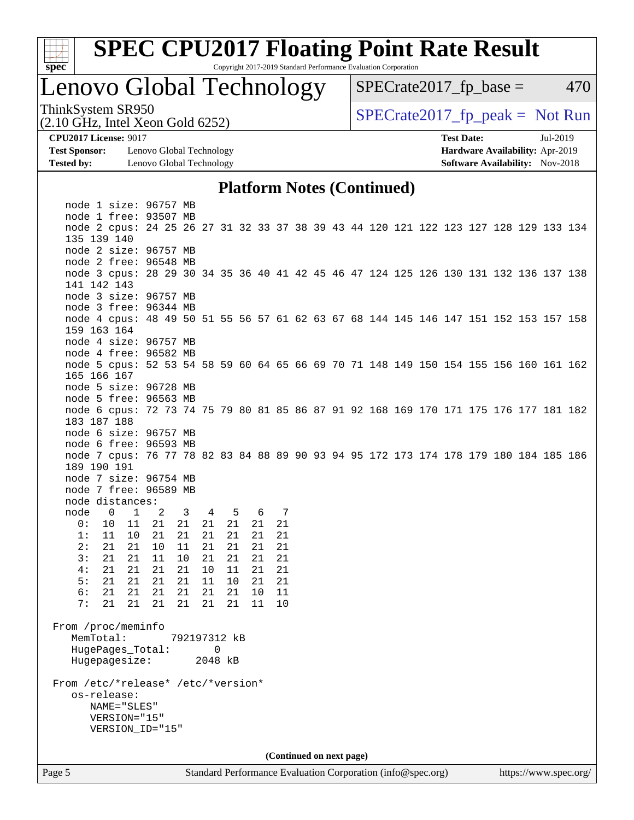

### Lenovo Global Technology

 $SPECTate2017<sub>fr</sub> base = 470$ 

(2.10 GHz, Intel Xeon Gold 6252)

ThinkSystem SR950<br>  $SPECTR_{10}$  [SPECrate2017\\_fp\\_peak =](http://www.spec.org/auto/cpu2017/Docs/result-fields.html#SPECrate2017fppeak) Not Run

**[Test Sponsor:](http://www.spec.org/auto/cpu2017/Docs/result-fields.html#TestSponsor)** Lenovo Global Technology **[Hardware Availability:](http://www.spec.org/auto/cpu2017/Docs/result-fields.html#HardwareAvailability)** Apr-2019 **[Tested by:](http://www.spec.org/auto/cpu2017/Docs/result-fields.html#Testedby)** Lenovo Global Technology **[Software Availability:](http://www.spec.org/auto/cpu2017/Docs/result-fields.html#SoftwareAvailability)** Nov-2018

**[CPU2017 License:](http://www.spec.org/auto/cpu2017/Docs/result-fields.html#CPU2017License)** 9017 **[Test Date:](http://www.spec.org/auto/cpu2017/Docs/result-fields.html#TestDate)** Jul-2019

### **[Platform Notes \(Continued\)](http://www.spec.org/auto/cpu2017/Docs/result-fields.html#PlatformNotes)**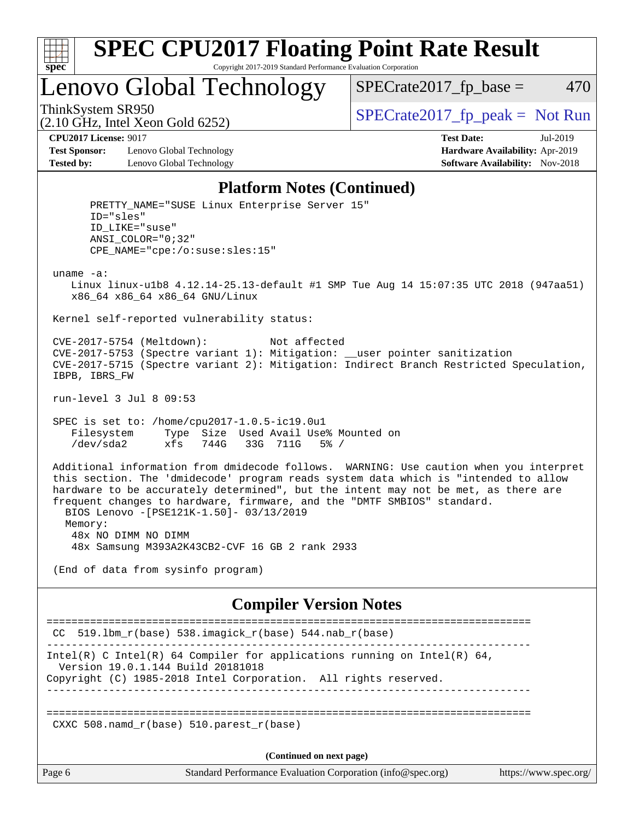

### Lenovo Global Technology

 $SPECTate2017<sub>fr</sub> base = 470$ 

(2.10 GHz, Intel Xeon Gold 6252)

ThinkSystem SR950<br>  $SPECTA = Not Run 2017$  [SPECrate2017\\_fp\\_peak =](http://www.spec.org/auto/cpu2017/Docs/result-fields.html#SPECrate2017fppeak) Not Run

**[Test Sponsor:](http://www.spec.org/auto/cpu2017/Docs/result-fields.html#TestSponsor)** Lenovo Global Technology **[Hardware Availability:](http://www.spec.org/auto/cpu2017/Docs/result-fields.html#HardwareAvailability)** Apr-2019 **[Tested by:](http://www.spec.org/auto/cpu2017/Docs/result-fields.html#Testedby)** Lenovo Global Technology **[Software Availability:](http://www.spec.org/auto/cpu2017/Docs/result-fields.html#SoftwareAvailability)** Nov-2018

**[CPU2017 License:](http://www.spec.org/auto/cpu2017/Docs/result-fields.html#CPU2017License)** 9017 **[Test Date:](http://www.spec.org/auto/cpu2017/Docs/result-fields.html#TestDate)** Jul-2019

#### **[Platform Notes \(Continued\)](http://www.spec.org/auto/cpu2017/Docs/result-fields.html#PlatformNotes)**

 PRETTY\_NAME="SUSE Linux Enterprise Server 15" ID="sles" ID\_LIKE="suse" ANSI\_COLOR="0;32" CPE\_NAME="cpe:/o:suse:sles:15" uname -a: Linux linux-u1b8 4.12.14-25.13-default #1 SMP Tue Aug 14 15:07:35 UTC 2018 (947aa51) x86\_64 x86\_64 x86\_64 GNU/Linux Kernel self-reported vulnerability status: CVE-2017-5754 (Meltdown): Not affected CVE-2017-5753 (Spectre variant 1): Mitigation: \_\_user pointer sanitization CVE-2017-5715 (Spectre variant 2): Mitigation: Indirect Branch Restricted Speculation, IBPB, IBRS\_FW run-level 3 Jul 8 09:53 SPEC is set to: /home/cpu2017-1.0.5-ic19.0u1 Filesystem Type Size Used Avail Use% Mounted on /dev/sda2 xfs 744G 33G 711G 5% / Additional information from dmidecode follows. WARNING: Use caution when you interpret this section. The 'dmidecode' program reads system data which is "intended to allow hardware to be accurately determined", but the intent may not be met, as there are frequent changes to hardware, firmware, and the "DMTF SMBIOS" standard. BIOS Lenovo -[PSE121K-1.50]- 03/13/2019 Memory: 48x NO DIMM NO DIMM 48x Samsung M393A2K43CB2-CVF 16 GB 2 rank 2933 (End of data from sysinfo program) **[Compiler Version Notes](http://www.spec.org/auto/cpu2017/Docs/result-fields.html#CompilerVersionNotes)** ==============================================================================  $CC$  519.1bm\_ $r(base)$  538.imagick\_ $r(base)$  544.nab\_ $r(base)$ ------------------------------------------------------------------------------ Intel(R) C Intel(R) 64 Compiler for applications running on Intel(R)  $64$ , Version 19.0.1.144 Build 20181018 Copyright (C) 1985-2018 Intel Corporation. All rights reserved. ------------------------------------------------------------------------------ ============================================================================== CXXC 508.namd  $r(base)$  510.parest  $r(base)$ **(Continued on next page)**

Page 6 Standard Performance Evaluation Corporation [\(info@spec.org\)](mailto:info@spec.org) <https://www.spec.org/>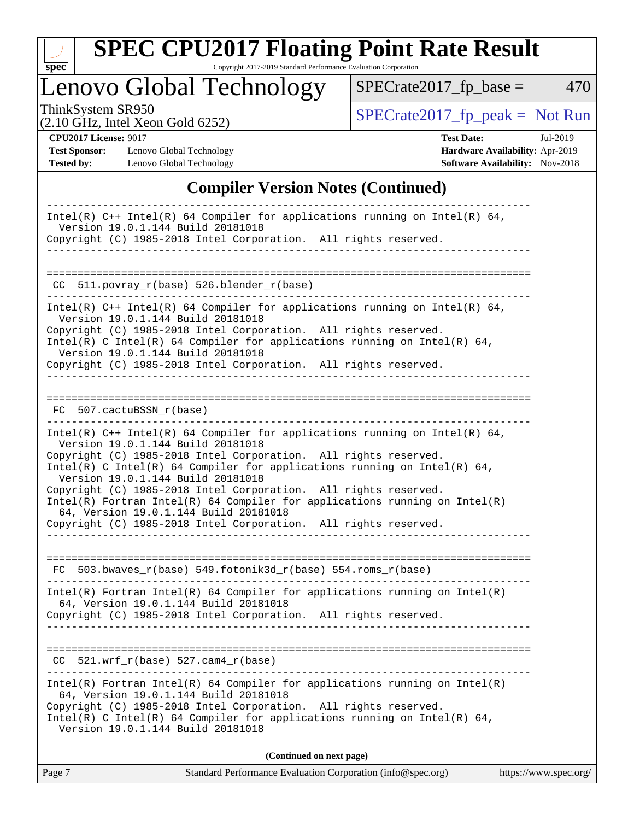

# **[SPEC CPU2017 Floating Point Rate Result](http://www.spec.org/auto/cpu2017/Docs/result-fields.html#SPECCPU2017FloatingPointRateResult)**

Copyright 2017-2019 Standard Performance Evaluation Corporation

## Lenovo Global Technology

ThinkSystem SR950<br>  $(2.10 \text{ GHz})$  Intel Yeon Gold 6252)

(2.10 GHz, Intel Xeon Gold 6252)

 $SPECrate2017_fp\_base = 470$ 

**[Test Sponsor:](http://www.spec.org/auto/cpu2017/Docs/result-fields.html#TestSponsor)** Lenovo Global Technology **[Hardware Availability:](http://www.spec.org/auto/cpu2017/Docs/result-fields.html#HardwareAvailability)** Apr-2019 **[Tested by:](http://www.spec.org/auto/cpu2017/Docs/result-fields.html#Testedby)** Lenovo Global Technology **[Software Availability:](http://www.spec.org/auto/cpu2017/Docs/result-fields.html#SoftwareAvailability)** Nov-2018

**[CPU2017 License:](http://www.spec.org/auto/cpu2017/Docs/result-fields.html#CPU2017License)** 9017 **[Test Date:](http://www.spec.org/auto/cpu2017/Docs/result-fields.html#TestDate)** Jul-2019

### **[Compiler Version Notes \(Continued\)](http://www.spec.org/auto/cpu2017/Docs/result-fields.html#CompilerVersionNotes)**

| Intel(R) $C++$ Intel(R) 64 Compiler for applications running on Intel(R) 64,<br>Version 19.0.1.144 Build 20181018                                                                    |
|--------------------------------------------------------------------------------------------------------------------------------------------------------------------------------------|
| Copyright (C) 1985-2018 Intel Corporation. All rights reserved.                                                                                                                      |
|                                                                                                                                                                                      |
|                                                                                                                                                                                      |
| CC 511.povray_r(base) 526.blender_r(base)                                                                                                                                            |
| Intel(R) $C++$ Intel(R) 64 Compiler for applications running on Intel(R) 64,<br>Version 19.0.1.144 Build 20181018<br>Copyright (C) 1985-2018 Intel Corporation. All rights reserved. |
| Intel(R) C Intel(R) 64 Compiler for applications running on Intel(R) 64,<br>Version 19.0.1.144 Build 20181018<br>Copyright (C) 1985-2018 Intel Corporation. All rights reserved.     |
| ___________________________________                                                                                                                                                  |
| FC 507.cactuBSSN_r(base)                                                                                                                                                             |
|                                                                                                                                                                                      |
| Intel(R) $C++$ Intel(R) 64 Compiler for applications running on Intel(R) 64,<br>Version 19.0.1.144 Build 20181018                                                                    |
| Copyright (C) 1985-2018 Intel Corporation. All rights reserved.                                                                                                                      |
| Intel(R) C Intel(R) 64 Compiler for applications running on Intel(R) 64,<br>Version 19.0.1.144 Build 20181018                                                                        |
| Copyright (C) 1985-2018 Intel Corporation. All rights reserved.                                                                                                                      |
| $Intel(R)$ Fortran Intel(R) 64 Compiler for applications running on Intel(R)                                                                                                         |
| 64, Version 19.0.1.144 Build 20181018<br>Copyright (C) 1985-2018 Intel Corporation. All rights reserved.                                                                             |
|                                                                                                                                                                                      |
|                                                                                                                                                                                      |
| $FC$ 503.bwaves_ $r(base)$ 549.fotonik3d_ $r(base)$ 554.roms_ $r(base)$                                                                                                              |
| $Intel(R)$ Fortran Intel(R) 64 Compiler for applications running on Intel(R)                                                                                                         |
| 64, Version 19.0.1.144 Build 20181018                                                                                                                                                |
| Copyright (C) 1985-2018 Intel Corporation. All rights reserved.                                                                                                                      |
|                                                                                                                                                                                      |
|                                                                                                                                                                                      |
| $CC$ 521.wrf_r(base) 527.cam4_r(base)                                                                                                                                                |
| $Intel(R)$ Fortran Intel(R) 64 Compiler for applications running on Intel(R)<br>64, Version 19.0.1.144 Build 20181018                                                                |
| Copyright (C) 1985-2018 Intel Corporation. All rights reserved.<br>Intel(R) C Intel(R) 64 Compiler for applications running on Intel(R) 64,                                          |
| Version 19.0.1.144 Build 20181018                                                                                                                                                    |
|                                                                                                                                                                                      |
| (Continued on next page)                                                                                                                                                             |

| Page 7 | Standard Performance Evaluation Corporation (info@spec.org) | https://www.spec.org/ |
|--------|-------------------------------------------------------------|-----------------------|
|        |                                                             |                       |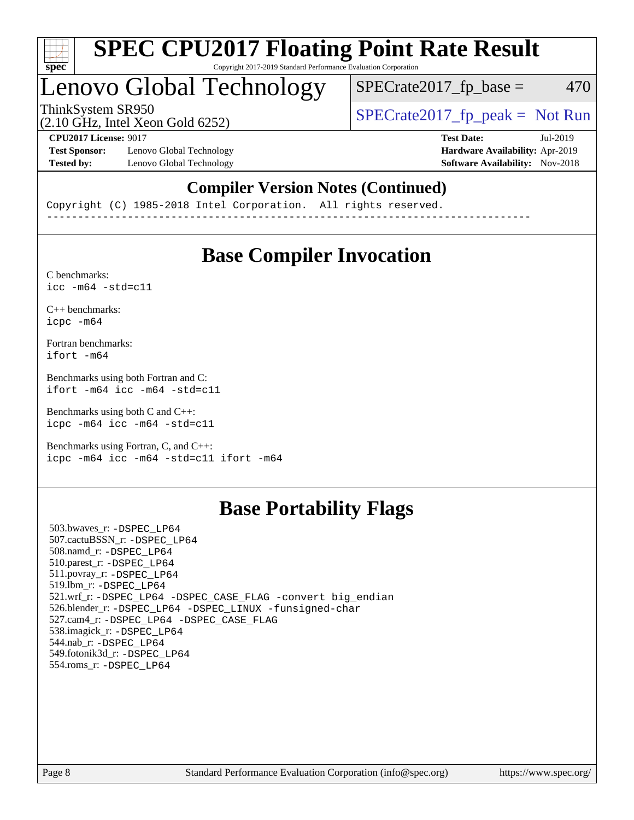

### Lenovo Global Technology

 $SPECTate2017<sub>fr</sub> base = 470$ 

(2.10 GHz, Intel Xeon Gold 6252)

ThinkSystem SR950<br>  $SPECTR_{10}$  [SPECrate2017\\_fp\\_peak =](http://www.spec.org/auto/cpu2017/Docs/result-fields.html#SPECrate2017fppeak) Not Run

**[Test Sponsor:](http://www.spec.org/auto/cpu2017/Docs/result-fields.html#TestSponsor)** Lenovo Global Technology **[Hardware Availability:](http://www.spec.org/auto/cpu2017/Docs/result-fields.html#HardwareAvailability)** Apr-2019 **[Tested by:](http://www.spec.org/auto/cpu2017/Docs/result-fields.html#Testedby)** Lenovo Global Technology **[Software Availability:](http://www.spec.org/auto/cpu2017/Docs/result-fields.html#SoftwareAvailability)** Nov-2018

**[CPU2017 License:](http://www.spec.org/auto/cpu2017/Docs/result-fields.html#CPU2017License)** 9017 **[Test Date:](http://www.spec.org/auto/cpu2017/Docs/result-fields.html#TestDate)** Jul-2019

### **[Compiler Version Notes \(Continued\)](http://www.spec.org/auto/cpu2017/Docs/result-fields.html#CompilerVersionNotes)**

Copyright (C) 1985-2018 Intel Corporation. All rights reserved. ------------------------------------------------------------------------------

### **[Base Compiler Invocation](http://www.spec.org/auto/cpu2017/Docs/result-fields.html#BaseCompilerInvocation)**

[C benchmarks](http://www.spec.org/auto/cpu2017/Docs/result-fields.html#Cbenchmarks):  $\text{icc}$  -m64 -std=c11

[C++ benchmarks:](http://www.spec.org/auto/cpu2017/Docs/result-fields.html#CXXbenchmarks) [icpc -m64](http://www.spec.org/cpu2017/results/res2019q3/cpu2017-20190805-16701.flags.html#user_CXXbase_intel_icpc_64bit_4ecb2543ae3f1412ef961e0650ca070fec7b7afdcd6ed48761b84423119d1bf6bdf5cad15b44d48e7256388bc77273b966e5eb805aefd121eb22e9299b2ec9d9)

[Fortran benchmarks](http://www.spec.org/auto/cpu2017/Docs/result-fields.html#Fortranbenchmarks): [ifort -m64](http://www.spec.org/cpu2017/results/res2019q3/cpu2017-20190805-16701.flags.html#user_FCbase_intel_ifort_64bit_24f2bb282fbaeffd6157abe4f878425411749daecae9a33200eee2bee2fe76f3b89351d69a8130dd5949958ce389cf37ff59a95e7a40d588e8d3a57e0c3fd751)

[Benchmarks using both Fortran and C](http://www.spec.org/auto/cpu2017/Docs/result-fields.html#BenchmarksusingbothFortranandC): [ifort -m64](http://www.spec.org/cpu2017/results/res2019q3/cpu2017-20190805-16701.flags.html#user_CC_FCbase_intel_ifort_64bit_24f2bb282fbaeffd6157abe4f878425411749daecae9a33200eee2bee2fe76f3b89351d69a8130dd5949958ce389cf37ff59a95e7a40d588e8d3a57e0c3fd751) [icc -m64 -std=c11](http://www.spec.org/cpu2017/results/res2019q3/cpu2017-20190805-16701.flags.html#user_CC_FCbase_intel_icc_64bit_c11_33ee0cdaae7deeeab2a9725423ba97205ce30f63b9926c2519791662299b76a0318f32ddfffdc46587804de3178b4f9328c46fa7c2b0cd779d7a61945c91cd35)

[Benchmarks using both C and C++](http://www.spec.org/auto/cpu2017/Docs/result-fields.html#BenchmarksusingbothCandCXX): [icpc -m64](http://www.spec.org/cpu2017/results/res2019q3/cpu2017-20190805-16701.flags.html#user_CC_CXXbase_intel_icpc_64bit_4ecb2543ae3f1412ef961e0650ca070fec7b7afdcd6ed48761b84423119d1bf6bdf5cad15b44d48e7256388bc77273b966e5eb805aefd121eb22e9299b2ec9d9) [icc -m64 -std=c11](http://www.spec.org/cpu2017/results/res2019q3/cpu2017-20190805-16701.flags.html#user_CC_CXXbase_intel_icc_64bit_c11_33ee0cdaae7deeeab2a9725423ba97205ce30f63b9926c2519791662299b76a0318f32ddfffdc46587804de3178b4f9328c46fa7c2b0cd779d7a61945c91cd35)

[Benchmarks using Fortran, C, and C++:](http://www.spec.org/auto/cpu2017/Docs/result-fields.html#BenchmarksusingFortranCandCXX) [icpc -m64](http://www.spec.org/cpu2017/results/res2019q3/cpu2017-20190805-16701.flags.html#user_CC_CXX_FCbase_intel_icpc_64bit_4ecb2543ae3f1412ef961e0650ca070fec7b7afdcd6ed48761b84423119d1bf6bdf5cad15b44d48e7256388bc77273b966e5eb805aefd121eb22e9299b2ec9d9) [icc -m64 -std=c11](http://www.spec.org/cpu2017/results/res2019q3/cpu2017-20190805-16701.flags.html#user_CC_CXX_FCbase_intel_icc_64bit_c11_33ee0cdaae7deeeab2a9725423ba97205ce30f63b9926c2519791662299b76a0318f32ddfffdc46587804de3178b4f9328c46fa7c2b0cd779d7a61945c91cd35) [ifort -m64](http://www.spec.org/cpu2017/results/res2019q3/cpu2017-20190805-16701.flags.html#user_CC_CXX_FCbase_intel_ifort_64bit_24f2bb282fbaeffd6157abe4f878425411749daecae9a33200eee2bee2fe76f3b89351d69a8130dd5949958ce389cf37ff59a95e7a40d588e8d3a57e0c3fd751)

### **[Base Portability Flags](http://www.spec.org/auto/cpu2017/Docs/result-fields.html#BasePortabilityFlags)**

 503.bwaves\_r: [-DSPEC\\_LP64](http://www.spec.org/cpu2017/results/res2019q3/cpu2017-20190805-16701.flags.html#suite_basePORTABILITY503_bwaves_r_DSPEC_LP64) 507.cactuBSSN\_r: [-DSPEC\\_LP64](http://www.spec.org/cpu2017/results/res2019q3/cpu2017-20190805-16701.flags.html#suite_basePORTABILITY507_cactuBSSN_r_DSPEC_LP64) 508.namd\_r: [-DSPEC\\_LP64](http://www.spec.org/cpu2017/results/res2019q3/cpu2017-20190805-16701.flags.html#suite_basePORTABILITY508_namd_r_DSPEC_LP64) 510.parest\_r: [-DSPEC\\_LP64](http://www.spec.org/cpu2017/results/res2019q3/cpu2017-20190805-16701.flags.html#suite_basePORTABILITY510_parest_r_DSPEC_LP64) 511.povray\_r: [-DSPEC\\_LP64](http://www.spec.org/cpu2017/results/res2019q3/cpu2017-20190805-16701.flags.html#suite_basePORTABILITY511_povray_r_DSPEC_LP64) 519.lbm\_r: [-DSPEC\\_LP64](http://www.spec.org/cpu2017/results/res2019q3/cpu2017-20190805-16701.flags.html#suite_basePORTABILITY519_lbm_r_DSPEC_LP64) 521.wrf\_r: [-DSPEC\\_LP64](http://www.spec.org/cpu2017/results/res2019q3/cpu2017-20190805-16701.flags.html#suite_basePORTABILITY521_wrf_r_DSPEC_LP64) [-DSPEC\\_CASE\\_FLAG](http://www.spec.org/cpu2017/results/res2019q3/cpu2017-20190805-16701.flags.html#b521.wrf_r_baseCPORTABILITY_DSPEC_CASE_FLAG) [-convert big\\_endian](http://www.spec.org/cpu2017/results/res2019q3/cpu2017-20190805-16701.flags.html#user_baseFPORTABILITY521_wrf_r_convert_big_endian_c3194028bc08c63ac5d04de18c48ce6d347e4e562e8892b8bdbdc0214820426deb8554edfa529a3fb25a586e65a3d812c835984020483e7e73212c4d31a38223) 526.blender\_r: [-DSPEC\\_LP64](http://www.spec.org/cpu2017/results/res2019q3/cpu2017-20190805-16701.flags.html#suite_basePORTABILITY526_blender_r_DSPEC_LP64) [-DSPEC\\_LINUX](http://www.spec.org/cpu2017/results/res2019q3/cpu2017-20190805-16701.flags.html#b526.blender_r_baseCPORTABILITY_DSPEC_LINUX) [-funsigned-char](http://www.spec.org/cpu2017/results/res2019q3/cpu2017-20190805-16701.flags.html#user_baseCPORTABILITY526_blender_r_force_uchar_40c60f00ab013830e2dd6774aeded3ff59883ba5a1fc5fc14077f794d777847726e2a5858cbc7672e36e1b067e7e5c1d9a74f7176df07886a243d7cc18edfe67) 527.cam4\_r: [-DSPEC\\_LP64](http://www.spec.org/cpu2017/results/res2019q3/cpu2017-20190805-16701.flags.html#suite_basePORTABILITY527_cam4_r_DSPEC_LP64) [-DSPEC\\_CASE\\_FLAG](http://www.spec.org/cpu2017/results/res2019q3/cpu2017-20190805-16701.flags.html#b527.cam4_r_baseCPORTABILITY_DSPEC_CASE_FLAG) 538.imagick\_r: [-DSPEC\\_LP64](http://www.spec.org/cpu2017/results/res2019q3/cpu2017-20190805-16701.flags.html#suite_basePORTABILITY538_imagick_r_DSPEC_LP64) 544.nab\_r: [-DSPEC\\_LP64](http://www.spec.org/cpu2017/results/res2019q3/cpu2017-20190805-16701.flags.html#suite_basePORTABILITY544_nab_r_DSPEC_LP64) 549.fotonik3d\_r: [-DSPEC\\_LP64](http://www.spec.org/cpu2017/results/res2019q3/cpu2017-20190805-16701.flags.html#suite_basePORTABILITY549_fotonik3d_r_DSPEC_LP64) 554.roms\_r: [-DSPEC\\_LP64](http://www.spec.org/cpu2017/results/res2019q3/cpu2017-20190805-16701.flags.html#suite_basePORTABILITY554_roms_r_DSPEC_LP64)